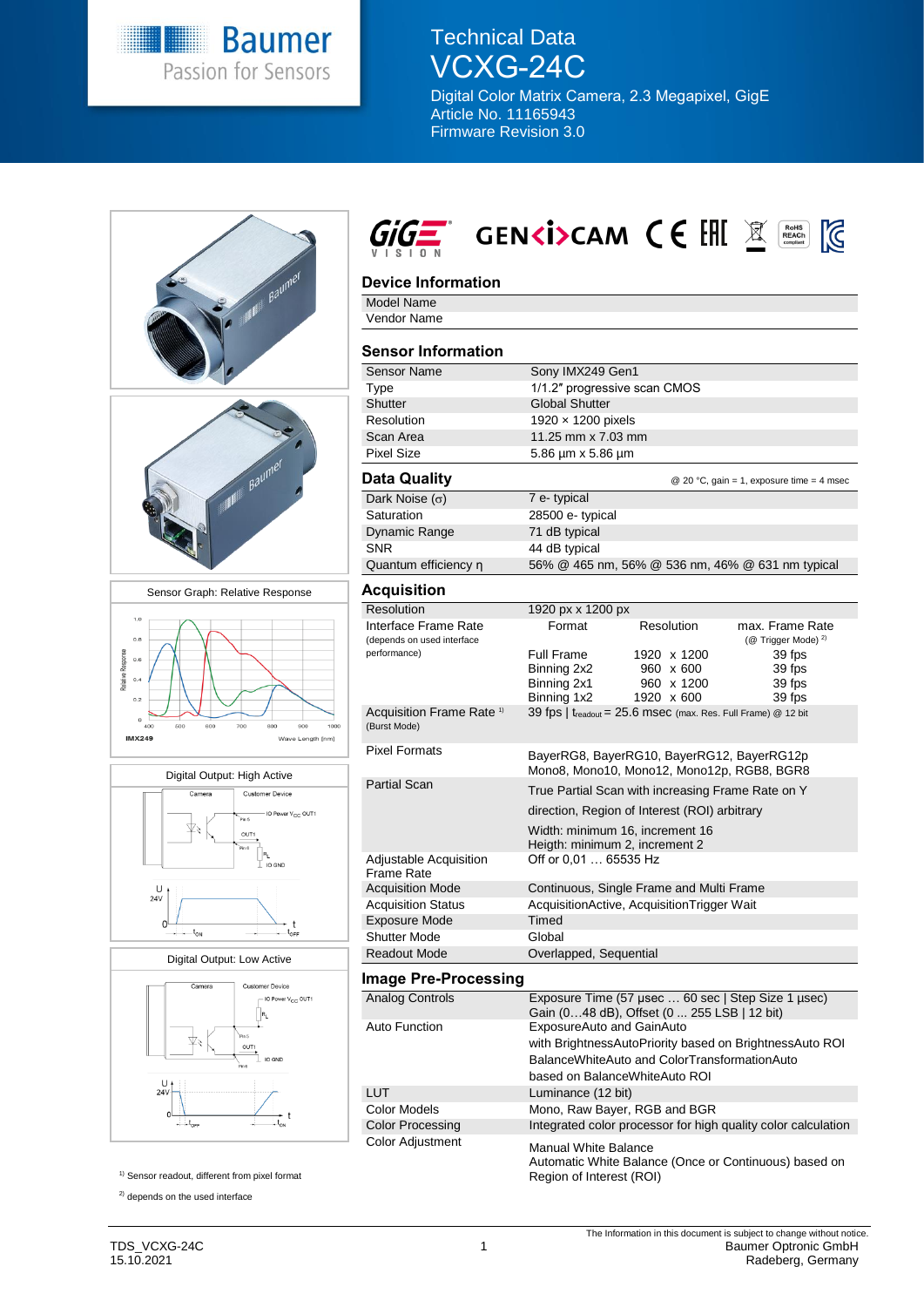

Technical Data VCXG-24C

Digital Color Matrix Camera, 2.3 Megapixel, GigE Article No. 11165943 Firmware Revision 3.0

|                                                                                                |                                      | $G^{\pm}$ genki>cam (E EHE $\mathbb E$ )<br>$\begin{array}{c}\n\text{RoHS} \\ \text{REACH} \\ \text{compliant}\n\end{array}$ |  |
|------------------------------------------------------------------------------------------------|--------------------------------------|------------------------------------------------------------------------------------------------------------------------------|--|
|                                                                                                | <b>Device Information</b>            |                                                                                                                              |  |
| Baumel                                                                                         | Model Name                           |                                                                                                                              |  |
|                                                                                                | <b>Vendor Name</b>                   |                                                                                                                              |  |
|                                                                                                | <b>Sensor Information</b>            |                                                                                                                              |  |
|                                                                                                | <b>Sensor Name</b>                   | Sony IMX249 Gen1                                                                                                             |  |
|                                                                                                | Type                                 | 1/1.2" progressive scan CMOS                                                                                                 |  |
|                                                                                                | Shutter<br>Resolution                | <b>Global Shutter</b>                                                                                                        |  |
|                                                                                                | Scan Area                            | 1920 x 1200 pixels<br>11.25 mm x 7.03 mm                                                                                     |  |
|                                                                                                | <b>Pixel Size</b>                    | 5.86 µm x 5.86 µm                                                                                                            |  |
|                                                                                                | <b>Data Quality</b>                  | @ 20 °C, gain = 1, exposure time = 4 msec                                                                                    |  |
|                                                                                                | Dark Noise $(\sigma)$                | 7 e-typical                                                                                                                  |  |
|                                                                                                | Saturation                           | 28500 e- typical                                                                                                             |  |
|                                                                                                | Dynamic Range                        | 71 dB typical                                                                                                                |  |
|                                                                                                | <b>SNR</b>                           | 44 dB typical                                                                                                                |  |
|                                                                                                | Quantum efficiency n                 | 56% @ 465 nm, 56% @ 536 nm, 46% @ 631 nm typical                                                                             |  |
| Sensor Graph: Relative Response                                                                | <b>Acquisition</b>                   |                                                                                                                              |  |
|                                                                                                | Resolution                           | 1920 px x 1200 px                                                                                                            |  |
| 1.0                                                                                            | Interface Frame Rate                 | Format<br><b>Resolution</b><br>max. Frame Rate                                                                               |  |
| 0.8                                                                                            | (depends on used interface           | (@ Trigger Mode) <sup>2)</sup>                                                                                               |  |
| Response<br>0.6                                                                                | performance)                         | Full Frame<br>1920 x 1200<br>39 fps                                                                                          |  |
| 0.4                                                                                            |                                      | Binning 2x2<br>960 x 600<br>39 fps<br>Binning 2x1<br>960 x 1200<br>39 fps                                                    |  |
| 0.2                                                                                            |                                      | Binning 1x2<br>1920 x 600<br>39 fps                                                                                          |  |
|                                                                                                | Acquisition Frame Rate <sup>1)</sup> | 39 fps   $t_{\text{readout}}$ = 25.6 msec (max. Res. Full Frame) @ 12 bit                                                    |  |
| $\circ$<br>400<br>500<br>60C<br>700<br>800<br>900<br>1000<br><b>IMX249</b><br>Wave Length [nm] | (Burst Mode)                         |                                                                                                                              |  |
|                                                                                                | <b>Pixel Formats</b>                 | BayerRG8, BayerRG10, BayerRG12, BayerRG12p<br>Mono8, Mono10, Mono12, Mono12p, RGB8, BGR8                                     |  |
| Digital Output: High Active                                                                    | <b>Partial Scan</b>                  | True Partial Scan with increasing Frame Rate on Y                                                                            |  |
| Camera<br><b>Customer Device</b>                                                               |                                      | direction, Region of Interest (ROI) arbitrary                                                                                |  |
| IO Power V <sub>CC</sub> OUT1<br>.<br>Pin 5                                                    |                                      |                                                                                                                              |  |
| ¥₹<br>OUT1                                                                                     |                                      | Width: minimum 16, increment 16<br>Heigth: minimum 2, increment 2                                                            |  |
| Pin 6                                                                                          | Adjustable Acquisition               | Off or 0.01  65535 Hz                                                                                                        |  |
| $\perp$ IO GND                                                                                 | <b>Frame Rate</b>                    |                                                                                                                              |  |
| υ,                                                                                             | <b>Acquisition Mode</b>              | Continuous, Single Frame and Multi Frame                                                                                     |  |
| 24V                                                                                            | <b>Acquisition Status</b>            | AcquisitionActive, AcquisitionTrigger Wait                                                                                   |  |
| 0 <sup>1</sup><br>t                                                                            | <b>Exposure Mode</b>                 | Timed                                                                                                                        |  |
| $t_{\text{ON}}$<br>toFF<br>$\cdot$ $\cdot$                                                     | <b>Shutter Mode</b>                  | Global                                                                                                                       |  |
| Digital Output: Low Active                                                                     | <b>Readout Mode</b>                  | Overlapped, Sequential                                                                                                       |  |
| Camera<br><b>Customer Device</b>                                                               | <b>Image Pre-Processing</b>          |                                                                                                                              |  |
| IO Power V <sub>CC</sub> OUT1                                                                  | <b>Analog Controls</b>               | Exposure Time (57 µsec  60 sec   Step Size 1 µsec)<br>Gain (048 dB), Offset (0 255 LSB   12 bit)                             |  |
|                                                                                                | <b>Auto Function</b>                 | ExposureAuto and GainAuto                                                                                                    |  |
| OUT1<br>IO GND                                                                                 |                                      | with BrightnessAutoPriority based on BrightnessAuto ROI                                                                      |  |
|                                                                                                |                                      | BalanceWhiteAuto and ColorTransformationAuto<br>based on BalanceWhiteAuto ROI                                                |  |
| 24V                                                                                            | <b>LUT</b>                           |                                                                                                                              |  |
|                                                                                                | <b>Color Models</b>                  | Luminance (12 bit)                                                                                                           |  |
| $\longrightarrow$ t <sub>orr</sub>                                                             | <b>Color Processing</b>              | Mono, Raw Bayer, RGB and BGR<br>Integrated color processor for high quality color calculation                                |  |
|                                                                                                | <b>Color Adjustment</b>              |                                                                                                                              |  |
| <sup>1)</sup> Sensor readout, different from pixel format                                      |                                      | <b>Manual White Balance</b><br>Automatic White Balance (Once or Continuous) based on<br>Region of Interest (ROI)             |  |
|                                                                                                |                                      |                                                                                                                              |  |
| <sup>2)</sup> depends on the used interface                                                    |                                      |                                                                                                                              |  |

 $\overline{\phantom{a}}$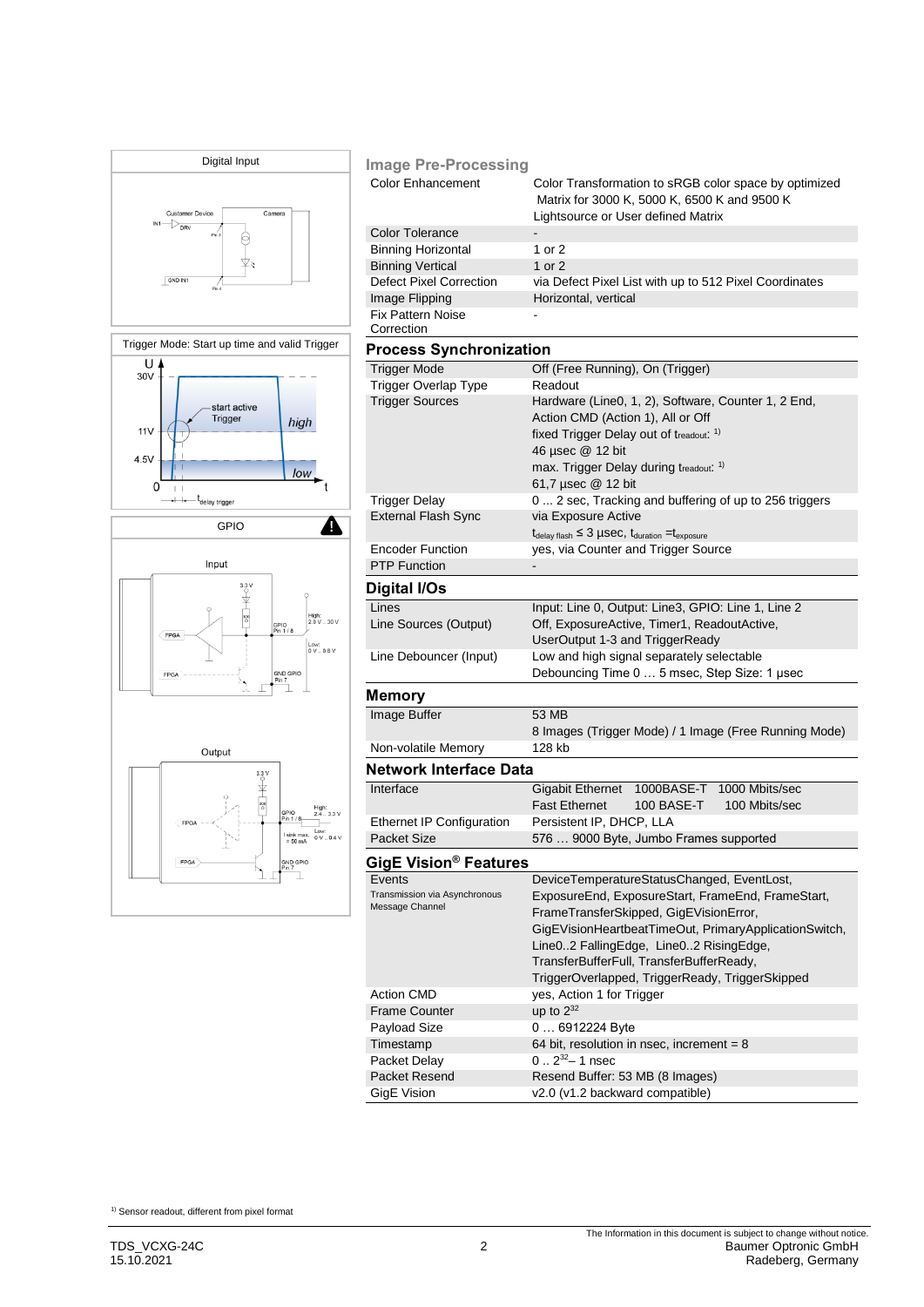

| <b>Image Pre-Processing</b>                      |                                                                                                                                                                                                                                                                                               |  |  |  |
|--------------------------------------------------|-----------------------------------------------------------------------------------------------------------------------------------------------------------------------------------------------------------------------------------------------------------------------------------------------|--|--|--|
| <b>Color Enhancement</b>                         | Color Transformation to sRGB color space by optimized<br>Matrix for 3000 K, 5000 K, 6500 K and 9500 K<br>Lightsource or User defined Matrix                                                                                                                                                   |  |  |  |
| <b>Color Tolerance</b>                           |                                                                                                                                                                                                                                                                                               |  |  |  |
| <b>Binning Horizontal</b>                        | 1 or $2$                                                                                                                                                                                                                                                                                      |  |  |  |
| <b>Binning Vertical</b>                          | 1 or $2$                                                                                                                                                                                                                                                                                      |  |  |  |
| <b>Defect Pixel Correction</b>                   | via Defect Pixel List with up to 512 Pixel Coordinates                                                                                                                                                                                                                                        |  |  |  |
| Image Flipping                                   | Horizontal, vertical                                                                                                                                                                                                                                                                          |  |  |  |
| <b>Fix Pattern Noise</b>                         |                                                                                                                                                                                                                                                                                               |  |  |  |
| Correction                                       |                                                                                                                                                                                                                                                                                               |  |  |  |
| <b>Process Synchronization</b>                   |                                                                                                                                                                                                                                                                                               |  |  |  |
| <b>Trigger Mode</b>                              | Off (Free Running), On (Trigger)                                                                                                                                                                                                                                                              |  |  |  |
| Trigger Overlap Type                             | Readout                                                                                                                                                                                                                                                                                       |  |  |  |
| <b>Trigger Sources</b>                           | Hardware (Line0, 1, 2), Software, Counter 1, 2 End,<br>Action CMD (Action 1), All or Off<br>fixed Trigger Delay out of treadout: 1)<br>46 µsec @ 12 bit<br>max. Trigger Delay during treadout. <sup>1)</sup>                                                                                  |  |  |  |
|                                                  | 61,7 µsec @ 12 bit                                                                                                                                                                                                                                                                            |  |  |  |
| <b>Trigger Delay</b>                             | 0  2 sec, Tracking and buffering of up to 256 triggers                                                                                                                                                                                                                                        |  |  |  |
| <b>External Flash Sync</b>                       | via Exposure Active                                                                                                                                                                                                                                                                           |  |  |  |
|                                                  | $t_{\text{delay flash}} \leq 3$ µSeC, $t_{\text{duration}} = t_{\text{exposure}}$                                                                                                                                                                                                             |  |  |  |
| <b>Encoder Function</b>                          | yes, via Counter and Trigger Source                                                                                                                                                                                                                                                           |  |  |  |
| <b>PTP Function</b>                              |                                                                                                                                                                                                                                                                                               |  |  |  |
| Digital I/Os                                     |                                                                                                                                                                                                                                                                                               |  |  |  |
| Lines                                            | Input: Line 0, Output: Line3, GPIO: Line 1, Line 2                                                                                                                                                                                                                                            |  |  |  |
| Line Sources (Output)                            | Off, ExposureActive, Timer1, ReadoutActive,                                                                                                                                                                                                                                                   |  |  |  |
|                                                  | UserOutput 1-3 and TriggerReady                                                                                                                                                                                                                                                               |  |  |  |
| Line Debouncer (Input)                           | Low and high signal separately selectable                                                                                                                                                                                                                                                     |  |  |  |
|                                                  | Debouncing Time 0  5 msec, Step Size: 1 usec                                                                                                                                                                                                                                                  |  |  |  |
| <b>Memory</b>                                    |                                                                                                                                                                                                                                                                                               |  |  |  |
| Image Buffer                                     | 53 MB                                                                                                                                                                                                                                                                                         |  |  |  |
|                                                  | 8 Images (Trigger Mode) / 1 Image (Free Running Mode)                                                                                                                                                                                                                                         |  |  |  |
| Non-volatile Memory                              | 128 kb                                                                                                                                                                                                                                                                                        |  |  |  |
| <b>Network Interface Data</b>                    |                                                                                                                                                                                                                                                                                               |  |  |  |
| Interface                                        | <b>Gigabit Ethernet</b><br>1000BASE-T<br>1000 Mbits/sec<br><b>Fast Ethernet</b><br>100 BASE-T<br>100 Mbits/sec                                                                                                                                                                                |  |  |  |
| <b>Ethernet IP Configuration</b>                 | Persistent IP, DHCP, LLA                                                                                                                                                                                                                                                                      |  |  |  |
| <b>Packet Size</b>                               | 576  9000 Byte, Jumbo Frames supported                                                                                                                                                                                                                                                        |  |  |  |
| GigE Vision® Features                            |                                                                                                                                                                                                                                                                                               |  |  |  |
| Events                                           | DeviceTemperatureStatusChanged, EventLost,                                                                                                                                                                                                                                                    |  |  |  |
| Transmission via Asynchronous<br>Message Channel | ExposureEnd, ExposureStart, FrameEnd, FrameStart,<br>FrameTransferSkipped, GigEVisionError,<br>GigEVisionHeartbeatTimeOut, PrimaryApplicationSwitch,<br>Line02 FallingEdge, Line02 RisingEdge,<br>TransferBufferFull, TransferBufferReady,<br>TriggerOverlapped, TriggerReady, TriggerSkipped |  |  |  |
| <b>Action CMD</b>                                | yes, Action 1 for Trigger                                                                                                                                                                                                                                                                     |  |  |  |
| <b>Frame Counter</b>                             | up to $2^{32}$                                                                                                                                                                                                                                                                                |  |  |  |
| Payload Size                                     | 0  6912224 Byte                                                                                                                                                                                                                                                                               |  |  |  |
| Timestamp                                        | 64 bit, resolution in nsec, increment = $8$                                                                                                                                                                                                                                                   |  |  |  |
| Packet Delay                                     | $0.2^{32} - 1$ nsec                                                                                                                                                                                                                                                                           |  |  |  |
| Packet Resend                                    | Resend Buffer: 53 MB (8 Images)                                                                                                                                                                                                                                                               |  |  |  |
| GigE Vision                                      | v2.0 (v1.2 backward compatible)                                                                                                                                                                                                                                                               |  |  |  |

 $1)$  Sensor readout, different from pixel format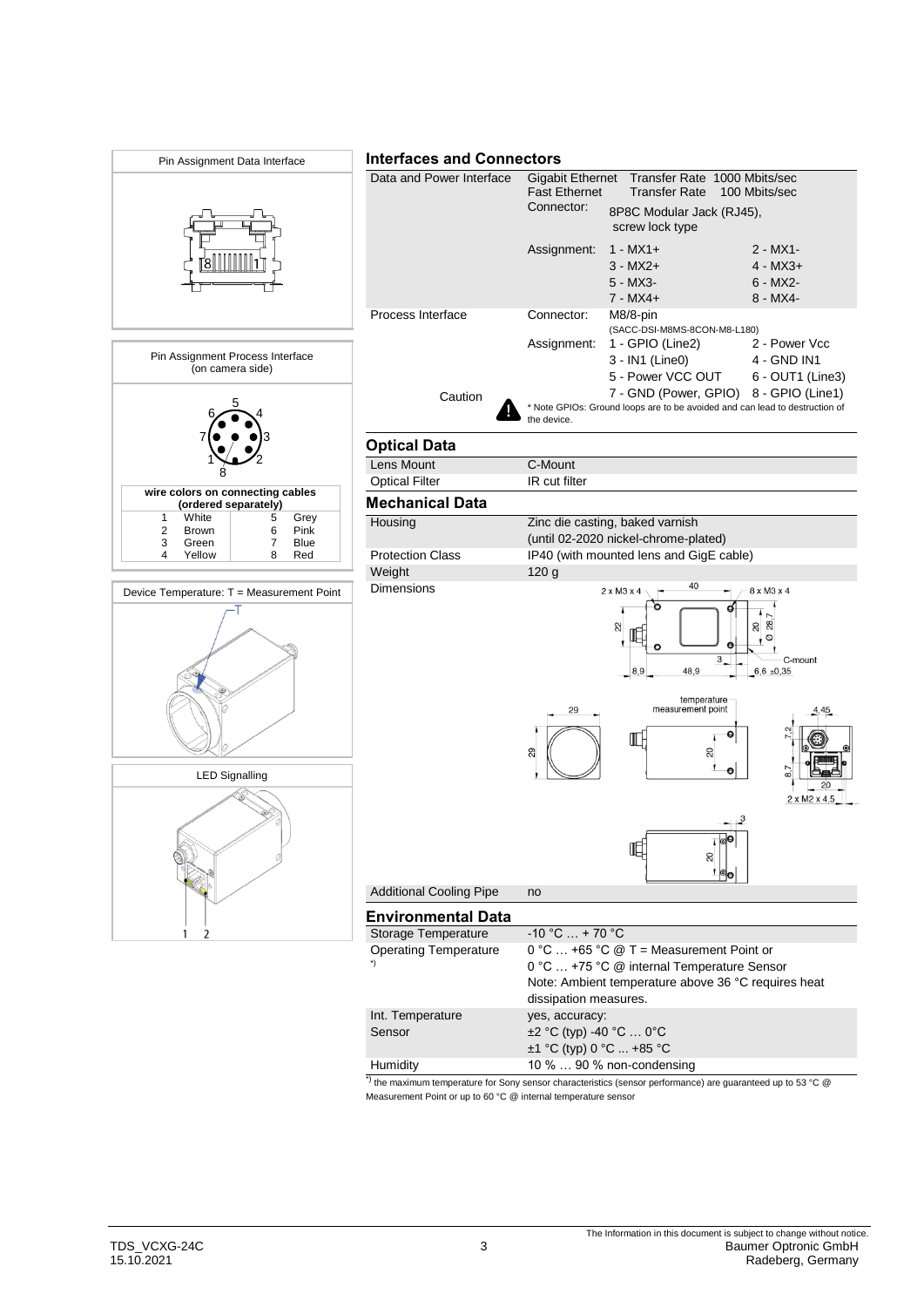

Measurement Point or up to 60 °C @ internal temperature sensor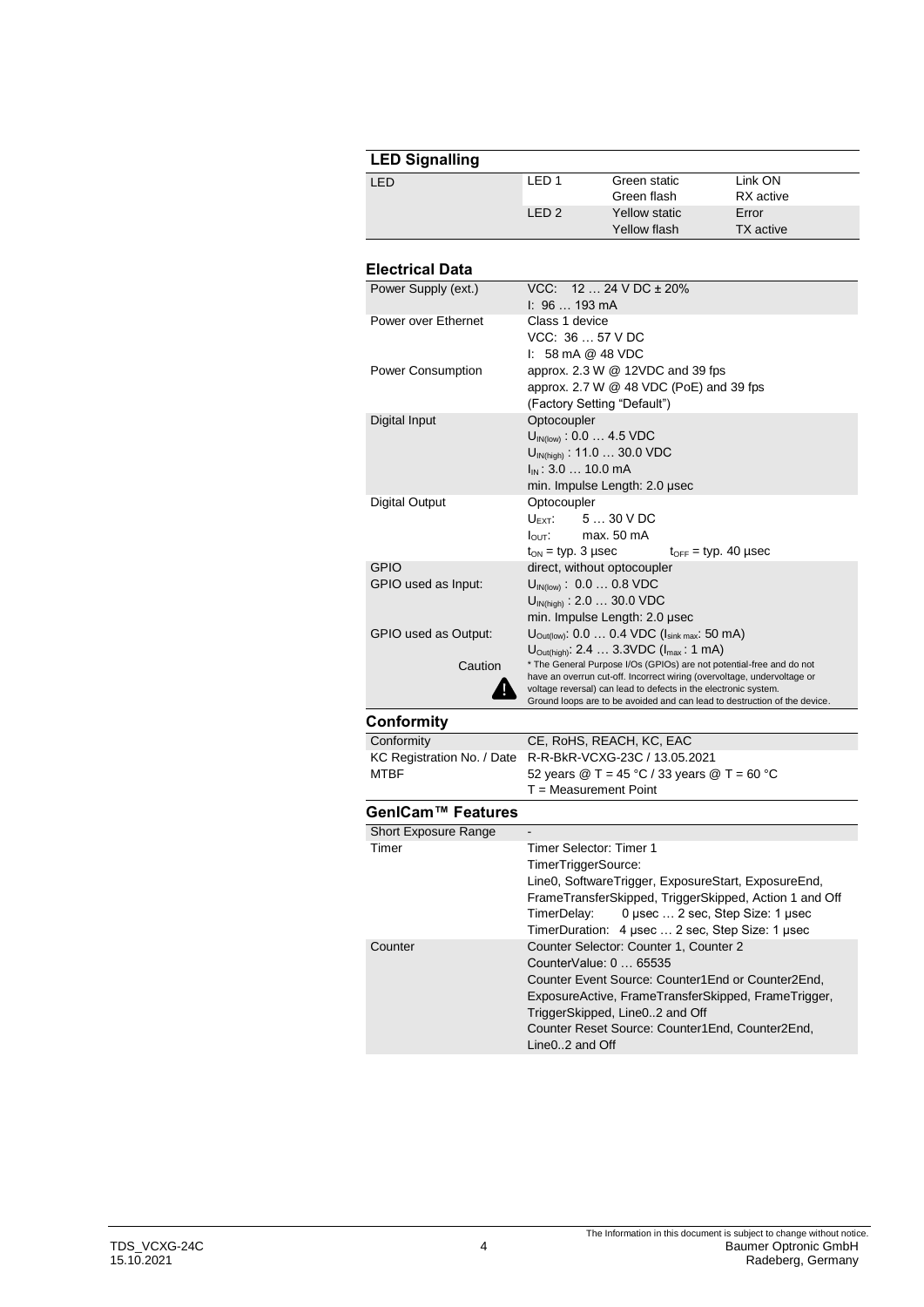| <b>LED Signalling</b> |        |               |                  |
|-----------------------|--------|---------------|------------------|
| LED                   | I FD 1 | Green static  | Link ON          |
|                       |        | Green flash   | RX active        |
|                       | IFD2   | Yellow static | Error            |
|                       |        | Yellow flash  | <b>TX</b> active |

## **Electrical Data**

| Power Supply (ext.)        | $VCC: 1224 VDC \pm 20\%$<br>1:96193mA                                                                                                      |  |  |
|----------------------------|--------------------------------------------------------------------------------------------------------------------------------------------|--|--|
| Power over Ethernet        | Class 1 device                                                                                                                             |  |  |
|                            | VCC: 36  57 V DC                                                                                                                           |  |  |
|                            | $\mathsf{I}$ : 58 mA @ 48 VDC                                                                                                              |  |  |
| Power Consumption          | approx. $2.3 W @ 12VDC$ and 39 fps<br>approx. 2.7 W @ 48 VDC (PoE) and 39 fps                                                              |  |  |
|                            | (Factory Setting "Default")                                                                                                                |  |  |
| Digital Input              | Optocoupler                                                                                                                                |  |  |
|                            | $U_{IN(low)}$ : 0.0  4.5 VDC                                                                                                               |  |  |
|                            | $U_{\text{IN(high)}}$ : 11.0  30.0 VDC                                                                                                     |  |  |
|                            | $I_{IN}$ : 3.0  10.0 mA                                                                                                                    |  |  |
| Digital Output             | min. Impulse Length: 2.0 µsec<br>Optocoupler                                                                                               |  |  |
|                            | 5  30 V DC<br>$U$ <sub>FXT</sub> :                                                                                                         |  |  |
|                            | $I_{\text{OUT}}$ : max. 50 mA                                                                                                              |  |  |
|                            | $t_{ON}$ = typ. 3 µsec<br>$t_{\text{OFF}}$ = typ. 40 µsec                                                                                  |  |  |
| <b>GPIO</b>                | direct, without optocoupler                                                                                                                |  |  |
| GPIO used as Input:        | $U_{IN(low)}$ : 0.0  0.8 VDC<br>$U_{IN(hich)}$ : 2.0  30.0 VDC                                                                             |  |  |
|                            | min. Impulse Length: 2.0 µsec                                                                                                              |  |  |
| GPIO used as Output:       | $U_{\text{Out(low)}}$ : 0.0  0.4 VDC ( $I_{\text{sink max}}$ : 50 mA)                                                                      |  |  |
|                            | $U_{\text{Out(high)}}$ : 2.4  3.3VDC ( $I_{\text{max}}$ : 1 mA)                                                                            |  |  |
| Caution                    | * The General Purpose I/Os (GPIOs) are not potential-free and do not                                                                       |  |  |
|                            | have an overrun cut-off. Incorrect wiring (overvoltage, undervoltage or<br>voltage reversal) can lead to defects in the electronic system. |  |  |
|                            | Ground loops are to be avoided and can lead to destruction of the device.                                                                  |  |  |
| Conformity                 |                                                                                                                                            |  |  |
| Conformity                 | CE, RoHS, REACH, KC, EAC                                                                                                                   |  |  |
| KC Registration No. / Date | R-R-BkR-VCXG-23C / 13.05.2021                                                                                                              |  |  |
| <b>MTBF</b>                | 52 years @ T = 45 °C / 33 years @ T = 60 °C<br>$T = Measurement Point$                                                                     |  |  |
|                            |                                                                                                                                            |  |  |

## **GenICam™ Features**

| Timer Selector: Timer 1                                |  |  |
|--------------------------------------------------------|--|--|
| TimerTriggerSource:                                    |  |  |
| Line0, SoftwareTrigger, ExposureStart, ExposureEnd,    |  |  |
| FrameTransferSkipped, TriggerSkipped, Action 1 and Off |  |  |
| TimerDelay: 0 usec  2 sec, Step Size: 1 usec           |  |  |
| TimerDuration: 4 usec  2 sec, Step Size: 1 usec        |  |  |
| Counter Selector: Counter 1, Counter 2                 |  |  |
| CounterValue: $0 \dots 65535$                          |  |  |
| Counter Event Source: Counter1 End or Counter2 End.    |  |  |
| ExposureActive, FrameTransferSkipped, FrameTrigger,    |  |  |
| TriggerSkipped, Line02 and Off                         |  |  |
| Counter Reset Source: Counter1End. Counter2End.        |  |  |
| Line02 and Off                                         |  |  |
|                                                        |  |  |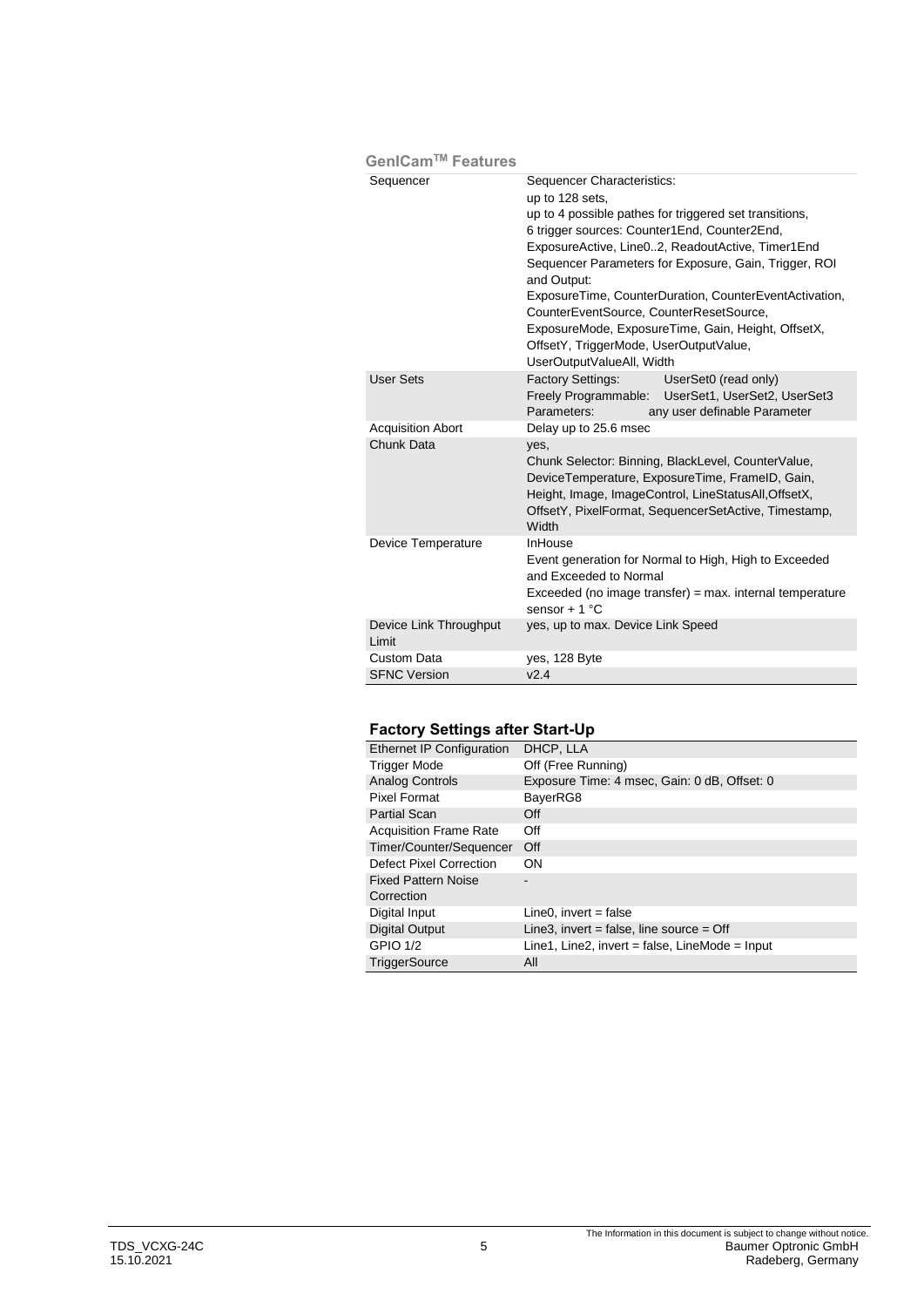| GenICam™ Features               |                                                                                                                                                                                                                                                                                                                                                                                                                                                                                                                       |  |
|---------------------------------|-----------------------------------------------------------------------------------------------------------------------------------------------------------------------------------------------------------------------------------------------------------------------------------------------------------------------------------------------------------------------------------------------------------------------------------------------------------------------------------------------------------------------|--|
| Sequencer                       | Sequencer Characteristics:<br>up to 128 sets,<br>up to 4 possible pathes for triggered set transitions,<br>6 trigger sources: Counter1End, Counter2End,<br>ExposureActive, Line02, ReadoutActive, Timer1End<br>Sequencer Parameters for Exposure, Gain, Trigger, ROI<br>and Output:<br>ExposureTime, CounterDuration, CounterEventActivation,<br>CounterEventSource, CounterResetSource,<br>ExposureMode, ExposureTime, Gain, Height, OffsetX,<br>OffsetY, TriggerMode, UserOutputValue,<br>UserOutputValueAll, Width |  |
| <b>User Sets</b>                | <b>Factory Settings:</b><br>UserSet0 (read only)<br>Freely Programmable: UserSet1, UserSet2, UserSet3<br>Parameters:<br>any user definable Parameter                                                                                                                                                                                                                                                                                                                                                                  |  |
| <b>Acquisition Abort</b>        | Delay up to 25.6 msec                                                                                                                                                                                                                                                                                                                                                                                                                                                                                                 |  |
| Chunk Data                      | yes,<br>Chunk Selector: Binning, BlackLevel, CounterValue,<br>DeviceTemperature, ExposureTime, FrameID, Gain,<br>Height, Image, ImageControl, LineStatusAll, OffsetX,<br>OffsetY, PixelFormat, SequencerSetActive, Timestamp,<br>Width                                                                                                                                                                                                                                                                                |  |
| Device Temperature              | <b>InHouse</b><br>Event generation for Normal to High, High to Exceeded<br>and Exceeded to Normal<br>$Exceeded$ (no image transfer) = max. internal temperature<br>sensor + $1^{\circ}$ C                                                                                                                                                                                                                                                                                                                             |  |
| Device Link Throughput<br>Limit | yes, up to max. Device Link Speed                                                                                                                                                                                                                                                                                                                                                                                                                                                                                     |  |
| Custom Data                     | yes, 128 Byte                                                                                                                                                                                                                                                                                                                                                                                                                                                                                                         |  |
| <b>SFNC Version</b>             | v2.4                                                                                                                                                                                                                                                                                                                                                                                                                                                                                                                  |  |

## **Factory Settings after Start-Up**

| <b>Ethernet IP Configuration</b> | DHCP, LLA                                        |
|----------------------------------|--------------------------------------------------|
| <b>Trigger Mode</b>              | Off (Free Running)                               |
| Analog Controls                  | Exposure Time: 4 msec, Gain: 0 dB, Offset: 0     |
| Pixel Format                     | BayerRG8                                         |
| <b>Partial Scan</b>              | Off                                              |
| <b>Acquisition Frame Rate</b>    | Off                                              |
| Timer/Counter/Sequencer          | Off                                              |
| Defect Pixel Correction          | <b>ON</b>                                        |
| <b>Fixed Pattern Noise</b>       |                                                  |
| Correction                       |                                                  |
| Digital Input                    | $Line 0$ , invert = false                        |
| <b>Digital Output</b>            | Line3, invert = false, line source = $Off$       |
| <b>GPIO 1/2</b>                  | Line1, Line2, invert = false, LineMode = $Input$ |
| <b>TriggerSource</b>             | All                                              |